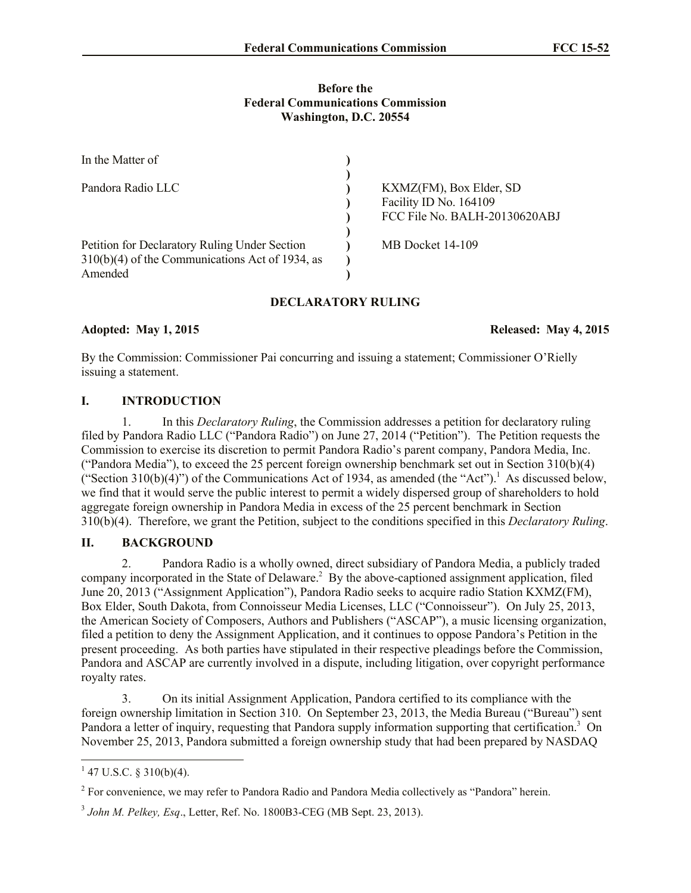## **Before the Federal Communications Commission Washington, D.C. 20554**

| In the Matter of                                                                                              |                                                                                    |  |
|---------------------------------------------------------------------------------------------------------------|------------------------------------------------------------------------------------|--|
| Pandora Radio LLC                                                                                             | KXMZ(FM), Box Elder, SD<br>Facility ID No. 164109<br>FCC File No. BALH-20130620ABJ |  |
| Petition for Declaratory Ruling Under Section<br>$310(b)(4)$ of the Communications Act of 1934, as<br>Amended | MB Docket 14-109                                                                   |  |

# **DECLARATORY RULING**

**Adopted: May 1, 2015 Released: May 4, 2015**

By the Commission: Commissioner Pai concurring and issuing a statement; Commissioner O'Rielly issuing a statement.

# **I. INTRODUCTION**

1. In this *Declaratory Ruling*, the Commission addresses a petition for declaratory ruling filed by Pandora Radio LLC ("Pandora Radio") on June 27, 2014 ("Petition"). The Petition requests the Commission to exercise its discretion to permit Pandora Radio's parent company, Pandora Media, Inc. ("Pandora Media"), to exceed the 25 percent foreign ownership benchmark set out in Section 310(b)(4) ("Section 310(b)(4)") of the Communications Act of 1934, as amended (the "Act").<sup>1</sup> As discussed below, we find that it would serve the public interest to permit a widely dispersed group of shareholders to hold aggregate foreign ownership in Pandora Media in excess of the 25 percent benchmark in Section 310(b)(4). Therefore, we grant the Petition, subject to the conditions specified in this *Declaratory Ruling*.

# **II. BACKGROUND**

2. Pandora Radio is a wholly owned, direct subsidiary of Pandora Media, a publicly traded company incorporated in the State of Delaware.<sup>2</sup> By the above-captioned assignment application, filed June 20, 2013 ("Assignment Application"), Pandora Radio seeks to acquire radio Station KXMZ(FM), Box Elder, South Dakota, from Connoisseur Media Licenses, LLC ("Connoisseur"). On July 25, 2013, the American Society of Composers, Authors and Publishers ("ASCAP"), a music licensing organization, filed a petition to deny the Assignment Application, and it continues to oppose Pandora's Petition in the present proceeding. As both parties have stipulated in their respective pleadings before the Commission, Pandora and ASCAP are currently involved in a dispute, including litigation, over copyright performance royalty rates.

3. On its initial Assignment Application, Pandora certified to its compliance with the foreign ownership limitation in Section 310. On September 23, 2013, the Media Bureau ("Bureau") sent Pandora a letter of inquiry, requesting that Pandora supply information supporting that certification.<sup>3</sup> On November 25, 2013, Pandora submitted a foreign ownership study that had been prepared by NASDAQ

 $\overline{\phantom{a}}$  $1$  47 U.S.C. § 310(b)(4).

 $2^{2}$  For convenience, we may refer to Pandora Radio and Pandora Media collectively as "Pandora" herein.

<sup>3</sup> *John M. Pelkey, Esq*., Letter, Ref. No. 1800B3-CEG (MB Sept. 23, 2013).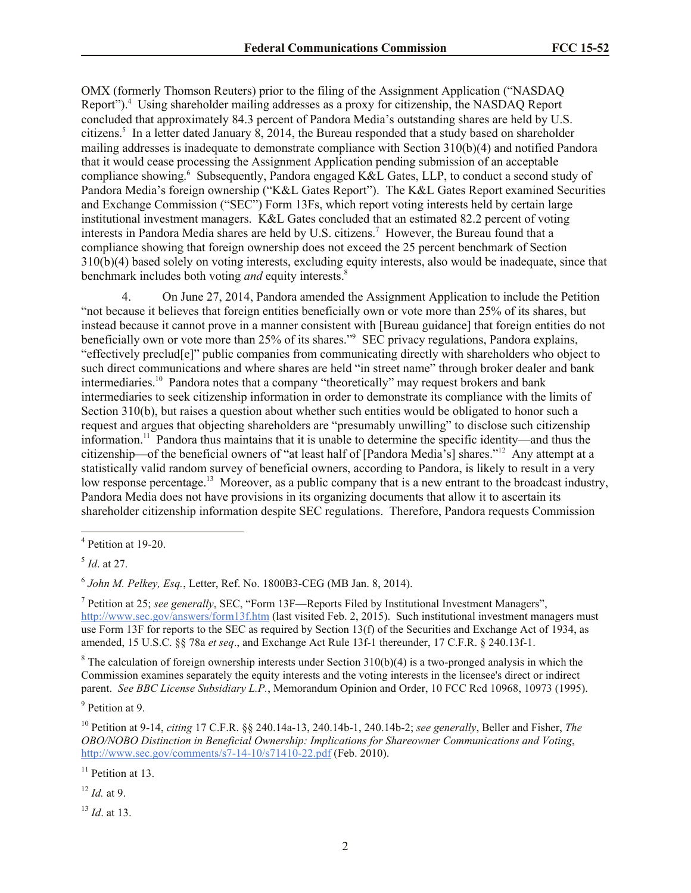OMX (formerly Thomson Reuters) prior to the filing of the Assignment Application ("NASDAQ Report").<sup>4</sup> Using shareholder mailing addresses as a proxy for citizenship, the NASDAQ Report concluded that approximately 84.3 percent of Pandora Media's outstanding shares are held by U.S. citizens. 5 In a letter dated January 8, 2014, the Bureau responded that a study based on shareholder mailing addresses is inadequate to demonstrate compliance with Section 310(b)(4) and notified Pandora that it would cease processing the Assignment Application pending submission of an acceptable compliance showing.<sup>6</sup> Subsequently, Pandora engaged K&L Gates, LLP, to conduct a second study of Pandora Media's foreign ownership ("K&L Gates Report"). The K&L Gates Report examined Securities and Exchange Commission ("SEC") Form 13Fs, which report voting interests held by certain large institutional investment managers. K&L Gates concluded that an estimated 82.2 percent of voting interests in Pandora Media shares are held by U.S. citizens. <sup>7</sup> However, the Bureau found that a compliance showing that foreign ownership does not exceed the 25 percent benchmark of Section 310(b)(4) based solely on voting interests, excluding equity interests, also would be inadequate, since that benchmark includes both voting *and* equity interests.<sup>8</sup>

4. On June 27, 2014, Pandora amended the Assignment Application to include the Petition "not because it believes that foreign entities beneficially own or vote more than 25% of its shares, but instead because it cannot prove in a manner consistent with [Bureau guidance] that foreign entities do not beneficially own or vote more than 25% of its shares."<sup>9</sup> SEC privacy regulations, Pandora explains, "effectively preclud[e]" public companies from communicating directly with shareholders who object to such direct communications and where shares are held "in street name" through broker dealer and bank intermediaries.<sup>10</sup> Pandora notes that a company "theoretically" may request brokers and bank intermediaries to seek citizenship information in order to demonstrate its compliance with the limits of Section 310(b), but raises a question about whether such entities would be obligated to honor such a request and argues that objecting shareholders are "presumably unwilling" to disclose such citizenship information.<sup>11</sup> Pandora thus maintains that it is unable to determine the specific identity—and thus the citizenship—of the beneficial owners of "at least half of [Pandora Media's] shares."<sup>12</sup> Any attempt at a statistically valid random survey of beneficial owners, according to Pandora, is likely to result in a very low response percentage.<sup>13</sup> Moreover, as a public company that is a new entrant to the broadcast industry, Pandora Media does not have provisions in its organizing documents that allow it to ascertain its shareholder citizenship information despite SEC regulations. Therefore, Pandora requests Commission

 $\overline{a}$ 

<sup>8</sup> The calculation of foreign ownership interests under Section 310(b)(4) is a two-pronged analysis in which the Commission examines separately the equity interests and the voting interests in the licensee's direct or indirect parent. *See BBC License Subsidiary L.P.*, Memorandum Opinion and Order, 10 FCC Rcd 10968, 10973 (1995).

<sup>9</sup> Petition at 9.

<sup>10</sup> Petition at 9-14, *citing* 17 C.F.R. §§ 240.14a-13, 240.14b-1, 240.14b-2; *see generally*, Beller and Fisher, *The OBO/NOBO Distinction in Beneficial Ownership: Implications for Shareowner Communications and Voting*, http://www.sec.gov/comments/s7-14-10/s71410-22.pdf (Feb. 2010).

 $11$  Petition at 13.

<sup>12</sup> *Id.* at 9.

<sup>13</sup> *Id*. at 13.

<sup>4</sup> Petition at 19-20.

<sup>5</sup> *Id*. at 27.

<sup>6</sup> *John M. Pelkey, Esq.*, Letter, Ref. No. 1800B3-CEG (MB Jan. 8, 2014).

<sup>7</sup> Petition at 25; *see generally*, SEC, "Form 13F—Reports Filed by Institutional Investment Managers", http://www.sec.gov/answers/form13f.htm (last visited Feb. 2, 2015). Such institutional investment managers must use Form 13F for reports to the SEC as required by Section 13(f) of the Securities and Exchange Act of 1934, as amended, 15 U.S.C. §§ 78a *et seq*., and Exchange Act Rule 13f-1 thereunder, 17 C.F.R. § 240.13f-1.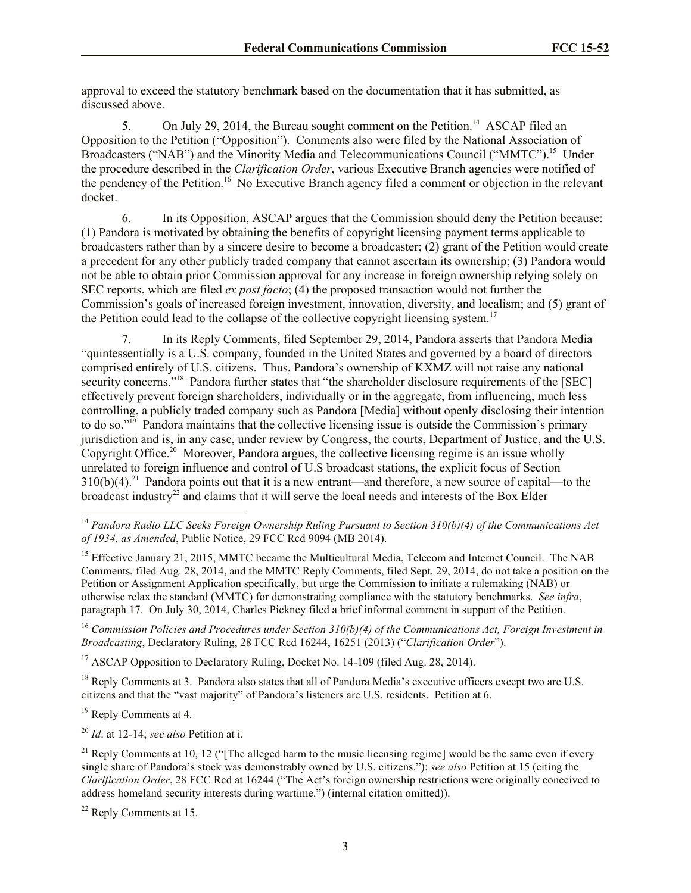approval to exceed the statutory benchmark based on the documentation that it has submitted, as discussed above.

5. On July 29, 2014, the Bureau sought comment on the Petition.<sup>14</sup> ASCAP filed an Opposition to the Petition ("Opposition"). Comments also were filed by the National Association of Broadcasters ("NAB") and the Minority Media and Telecommunications Council ("MMTC").<sup>15</sup> Under the procedure described in the *Clarification Order*, various Executive Branch agencies were notified of the pendency of the Petition.<sup>16</sup> No Executive Branch agency filed a comment or objection in the relevant docket.

6. In its Opposition, ASCAP argues that the Commission should deny the Petition because: (1) Pandora is motivated by obtaining the benefits of copyright licensing payment terms applicable to broadcasters rather than by a sincere desire to become a broadcaster; (2) grant of the Petition would create a precedent for any other publicly traded company that cannot ascertain its ownership; (3) Pandora would not be able to obtain prior Commission approval for any increase in foreign ownership relying solely on SEC reports, which are filed *ex post facto*; (4) the proposed transaction would not further the Commission's goals of increased foreign investment, innovation, diversity, and localism; and (5) grant of the Petition could lead to the collapse of the collective copyright licensing system.<sup>17</sup>

7. In its Reply Comments, filed September 29, 2014, Pandora asserts that Pandora Media "quintessentially is a U.S. company, founded in the United States and governed by a board of directors comprised entirely of U.S. citizens. Thus, Pandora's ownership of KXMZ will not raise any national security concerns."<sup>18</sup> Pandora further states that "the shareholder disclosure requirements of the [SEC] effectively prevent foreign shareholders, individually or in the aggregate, from influencing, much less controlling, a publicly traded company such as Pandora [Media] without openly disclosing their intention to do so."<sup>19</sup> Pandora maintains that the collective licensing issue is outside the Commission's primary jurisdiction and is, in any case, under review by Congress, the courts, Department of Justice, and the U.S. Copyright Office.<sup>20</sup> Moreover, Pandora argues, the collective licensing regime is an issue wholly unrelated to foreign influence and control of U.S broadcast stations, the explicit focus of Section  $310(b)(4).$ <sup>21</sup> Pandora points out that it is a new entrant—and therefore, a new source of capital—to the broadcast industry<sup>22</sup> and claims that it will serve the local needs and interests of the Box Elder

<sup>15</sup> Effective January 21, 2015, MMTC became the Multicultural Media, Telecom and Internet Council. The NAB Comments, filed Aug. 28, 2014, and the MMTC Reply Comments, filed Sept. 29, 2014, do not take a position on the Petition or Assignment Application specifically, but urge the Commission to initiate a rulemaking (NAB) or otherwise relax the standard (MMTC) for demonstrating compliance with the statutory benchmarks. *See infra*, paragraph 17. On July 30, 2014, Charles Pickney filed a brief informal comment in support of the Petition.

<sup>16</sup> *Commission Policies and Procedures under Section 310(b)(4) of the Communications Act, Foreign Investment in Broadcasting*, Declaratory Ruling, 28 FCC Rcd 16244, 16251 (2013) ("*Clarification Order*").

<sup>17</sup> ASCAP Opposition to Declaratory Ruling, Docket No. 14-109 (filed Aug. 28, 2014).

<sup>18</sup> Reply Comments at 3. Pandora also states that all of Pandora Media's executive officers except two are U.S. citizens and that the "vast majority" of Pandora's listeners are U.S. residents. Petition at 6.

<sup>19</sup> Reply Comments at 4.

 $\overline{\phantom{a}}$ 

<sup>20</sup> *Id*. at 12-14; *see also* Petition at i.

<sup>14</sup> *Pandora Radio LLC Seeks Foreign Ownership Ruling Pursuant to Section 310(b)(4) of the Communications Act of 1934, as Amended*, Public Notice, 29 FCC Rcd 9094 (MB 2014).

<sup>&</sup>lt;sup>21</sup> Reply Comments at 10, 12 ("The alleged harm to the music licensing regime] would be the same even if every single share of Pandora's stock was demonstrably owned by U.S. citizens."); *see also* Petition at 15 (citing the *Clarification Order*, 28 FCC Rcd at 16244 ("The Act's foreign ownership restrictions were originally conceived to address homeland security interests during wartime.") (internal citation omitted)).

<sup>22</sup> Reply Comments at 15.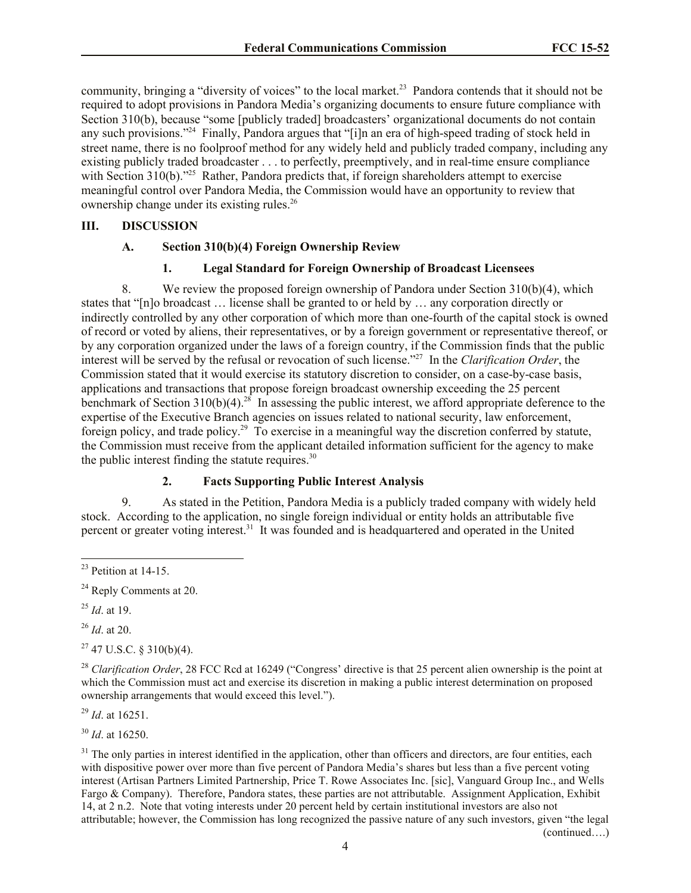community, bringing a "diversity of voices" to the local market.<sup>23</sup> Pandora contends that it should not be required to adopt provisions in Pandora Media's organizing documents to ensure future compliance with Section 310(b), because "some [publicly traded] broadcasters' organizational documents do not contain any such provisions."<sup>24</sup> Finally, Pandora argues that "[i]n an era of high-speed trading of stock held in street name, there is no foolproof method for any widely held and publicly traded company, including any existing publicly traded broadcaster . . . to perfectly, preemptively, and in real-time ensure compliance with Section  $310(b)$ ."<sup>25</sup> Rather, Pandora predicts that, if foreign shareholders attempt to exercise meaningful control over Pandora Media, the Commission would have an opportunity to review that ownership change under its existing rules. 26

# **III. DISCUSSION**

#### **A. Section 310(b)(4) Foreign Ownership Review**

## **1. Legal Standard for Foreign Ownership of Broadcast Licensees**

8. We review the proposed foreign ownership of Pandora under Section 310(b)(4), which states that "[n]o broadcast … license shall be granted to or held by … any corporation directly or indirectly controlled by any other corporation of which more than one-fourth of the capital stock is owned of record or voted by aliens, their representatives, or by a foreign government or representative thereof, or by any corporation organized under the laws of a foreign country, if the Commission finds that the public interest will be served by the refusal or revocation of such license."<sup>27</sup> In the *Clarification Order*, the Commission stated that it would exercise its statutory discretion to consider, on a case-by-case basis, applications and transactions that propose foreign broadcast ownership exceeding the 25 percent benchmark of Section  $310(b)(4)$ .<sup>28</sup> In assessing the public interest, we afford appropriate deference to the expertise of the Executive Branch agencies on issues related to national security, law enforcement, foreign policy, and trade policy.<sup>29</sup> To exercise in a meaningful way the discretion conferred by statute, the Commission must receive from the applicant detailed information sufficient for the agency to make the public interest finding the statute requires.<sup>30</sup>

# **2. Facts Supporting Public Interest Analysis**

9. As stated in the Petition, Pandora Media is a publicly traded company with widely held stock. According to the application, no single foreign individual or entity holds an attributable five percent or greater voting interest.<sup>31</sup> It was founded and is headquartered and operated in the United

 $\overline{\phantom{a}}$ 

<sup>26</sup> *Id*. at 20.

 $27$  47 U.S.C. § 310(b)(4).

<sup>28</sup> *Clarification Order*, 28 FCC Rcd at 16249 ("Congress' directive is that 25 percent alien ownership is the point at which the Commission must act and exercise its discretion in making a public interest determination on proposed ownership arrangements that would exceed this level.").

<sup>29</sup> *Id*. at 16251.

<sup>30</sup> *Id*. at 16250.

 $31$  The only parties in interest identified in the application, other than officers and directors, are four entities, each with dispositive power over more than five percent of Pandora Media's shares but less than a five percent voting interest (Artisan Partners Limited Partnership, Price T. Rowe Associates Inc. [sic], Vanguard Group Inc., and Wells Fargo & Company). Therefore, Pandora states, these parties are not attributable. Assignment Application, Exhibit 14, at 2 n.2. Note that voting interests under 20 percent held by certain institutional investors are also not attributable; however, the Commission has long recognized the passive nature of any such investors, given "the legal (continued….)

 $^{23}$  Petition at 14-15.

<sup>&</sup>lt;sup>24</sup> Reply Comments at 20.

<sup>25</sup> *Id*. at 19.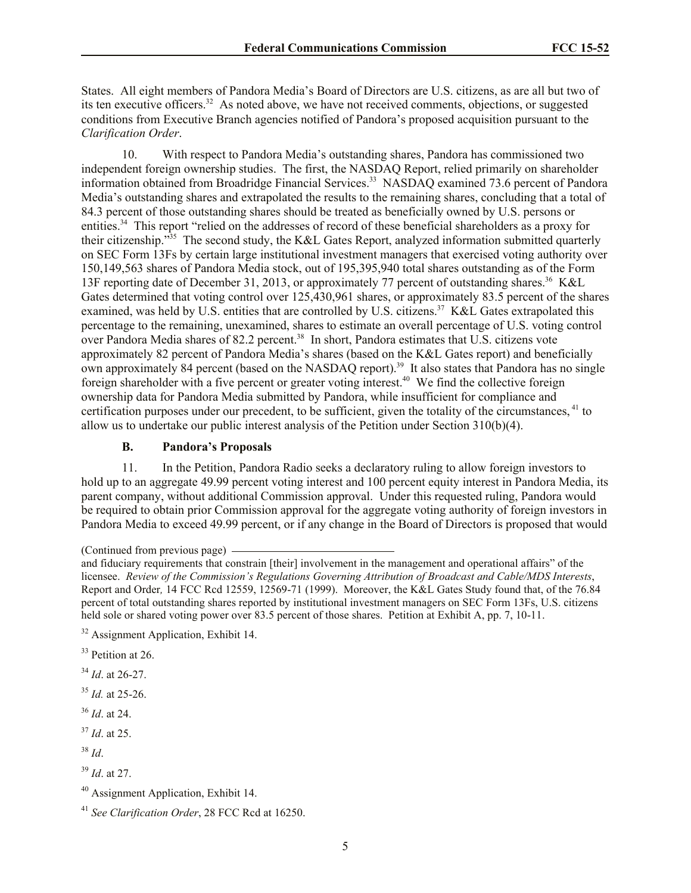States. All eight members of Pandora Media's Board of Directors are U.S. citizens, as are all but two of its ten executive officers.<sup>32</sup> As noted above, we have not received comments, objections, or suggested conditions from Executive Branch agencies notified of Pandora's proposed acquisition pursuant to the *Clarification Order*.

10. With respect to Pandora Media's outstanding shares, Pandora has commissioned two independent foreign ownership studies. The first, the NASDAQ Report, relied primarily on shareholder information obtained from Broadridge Financial Services.<sup>33</sup> NASDAQ examined 73.6 percent of Pandora Media's outstanding shares and extrapolated the results to the remaining shares, concluding that a total of 84.3 percent of those outstanding shares should be treated as beneficially owned by U.S. persons or entities.<sup>34</sup> This report "relied on the addresses of record of these beneficial shareholders as a proxy for their citizenship."<sup>35</sup> The second study, the K&L Gates Report, analyzed information submitted quarterly on SEC Form 13Fs by certain large institutional investment managers that exercised voting authority over 150,149,563 shares of Pandora Media stock, out of 195,395,940 total shares outstanding as of the Form 13F reporting date of December 31, 2013, or approximately 77 percent of outstanding shares.<sup>36</sup> K&L Gates determined that voting control over 125,430,961 shares, or approximately 83.5 percent of the shares examined, was held by U.S. entities that are controlled by U.S. citizens.<sup>37</sup> K&L Gates extrapolated this percentage to the remaining, unexamined, shares to estimate an overall percentage of U.S. voting control over Pandora Media shares of 82.2 percent.<sup>38</sup> In short, Pandora estimates that U.S. citizens vote approximately 82 percent of Pandora Media's shares (based on the K&L Gates report) and beneficially own approximately 84 percent (based on the NASDAQ report).<sup>39</sup> It also states that Pandora has no single foreign shareholder with a five percent or greater voting interest.<sup>40</sup> We find the collective foreign ownership data for Pandora Media submitted by Pandora, while insufficient for compliance and certification purposes under our precedent, to be sufficient, given the totality of the circumstances, <sup>41</sup> to allow us to undertake our public interest analysis of the Petition under Section 310(b)(4).

# **B. Pandora's Proposals**

11. In the Petition, Pandora Radio seeks a declaratory ruling to allow foreign investors to hold up to an aggregate 49.99 percent voting interest and 100 percent equity interest in Pandora Media, its parent company, without additional Commission approval. Under this requested ruling, Pandora would be required to obtain prior Commission approval for the aggregate voting authority of foreign investors in Pandora Media to exceed 49.99 percent, or if any change in the Board of Directors is proposed that would

- <sup>34</sup> *Id*. at 26-27.
- <sup>35</sup> *Id.* at 25-26.
- <sup>36</sup> *Id*. at 24.
- <sup>37</sup> *Id*. at 25.
- <sup>38</sup> *Id*.

<sup>(</sup>Continued from previous page)

and fiduciary requirements that constrain [their] involvement in the management and operational affairs" of the licensee. *Review of the Commission's Regulations Governing Attribution of Broadcast and Cable/MDS Interests*, Report and Order*,* 14 FCC Rcd 12559, 12569-71 (1999). Moreover, the K&L Gates Study found that, of the 76.84 percent of total outstanding shares reported by institutional investment managers on SEC Form 13Fs, U.S. citizens held sole or shared voting power over 83.5 percent of those shares. Petition at Exhibit A, pp. 7, 10-11.

<sup>&</sup>lt;sup>32</sup> Assignment Application, Exhibit 14.

<sup>&</sup>lt;sup>33</sup> Petition at 26.

<sup>39</sup> *Id*. at 27.

<sup>40</sup> Assignment Application, Exhibit 14.

<sup>41</sup> *See Clarification Order*, 28 FCC Rcd at 16250.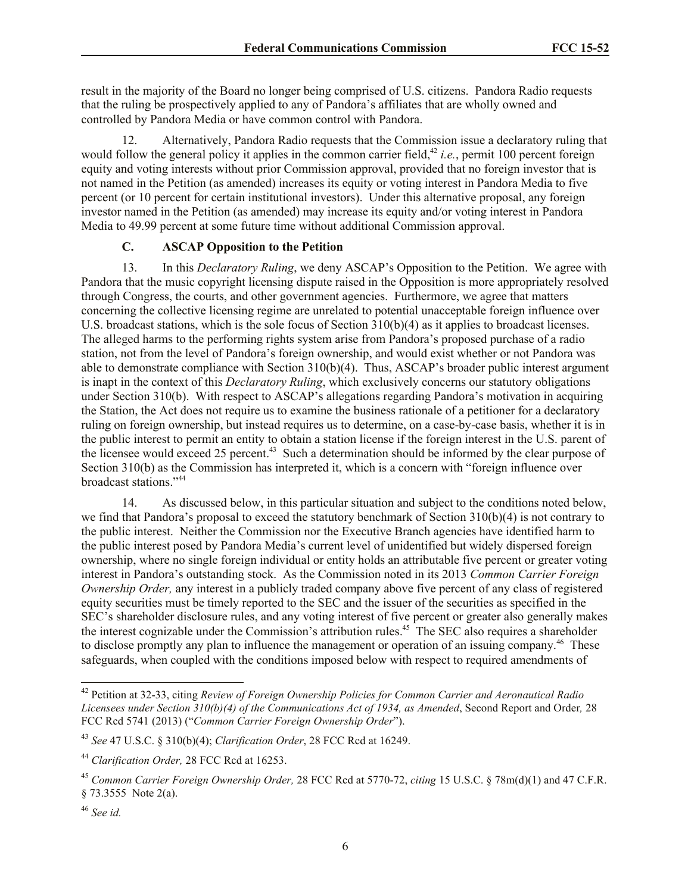result in the majority of the Board no longer being comprised of U.S. citizens. Pandora Radio requests that the ruling be prospectively applied to any of Pandora's affiliates that are wholly owned and controlled by Pandora Media or have common control with Pandora.

Alternatively, Pandora Radio requests that the Commission issue a declaratory ruling that would follow the general policy it applies in the common carrier field,<sup>42</sup> *i.e.*, permit 100 percent foreign equity and voting interests without prior Commission approval, provided that no foreign investor that is not named in the Petition (as amended) increases its equity or voting interest in Pandora Media to five percent (or 10 percent for certain institutional investors). Under this alternative proposal, any foreign investor named in the Petition (as amended) may increase its equity and/or voting interest in Pandora Media to 49.99 percent at some future time without additional Commission approval.

## **C. ASCAP Opposition to the Petition**

13. In this *Declaratory Ruling*, we deny ASCAP's Opposition to the Petition. We agree with Pandora that the music copyright licensing dispute raised in the Opposition is more appropriately resolved through Congress, the courts, and other government agencies. Furthermore, we agree that matters concerning the collective licensing regime are unrelated to potential unacceptable foreign influence over U.S. broadcast stations, which is the sole focus of Section 310(b)(4) as it applies to broadcast licenses. The alleged harms to the performing rights system arise from Pandora's proposed purchase of a radio station, not from the level of Pandora's foreign ownership, and would exist whether or not Pandora was able to demonstrate compliance with Section 310(b)(4). Thus, ASCAP's broader public interest argument is inapt in the context of this *Declaratory Ruling*, which exclusively concerns our statutory obligations under Section 310(b). With respect to ASCAP's allegations regarding Pandora's motivation in acquiring the Station, the Act does not require us to examine the business rationale of a petitioner for a declaratory ruling on foreign ownership, but instead requires us to determine, on a case-by-case basis, whether it is in the public interest to permit an entity to obtain a station license if the foreign interest in the U.S. parent of the licensee would exceed 25 percent.<sup>43</sup> Such a determination should be informed by the clear purpose of Section 310(b) as the Commission has interpreted it, which is a concern with "foreign influence over broadcast stations."<sup>44</sup>

14. As discussed below, in this particular situation and subject to the conditions noted below, we find that Pandora's proposal to exceed the statutory benchmark of Section 310(b)(4) is not contrary to the public interest. Neither the Commission nor the Executive Branch agencies have identified harm to the public interest posed by Pandora Media's current level of unidentified but widely dispersed foreign ownership, where no single foreign individual or entity holds an attributable five percent or greater voting interest in Pandora's outstanding stock. As the Commission noted in its 2013 *Common Carrier Foreign Ownership Order,* any interest in a publicly traded company above five percent of any class of registered equity securities must be timely reported to the SEC and the issuer of the securities as specified in the SEC's shareholder disclosure rules, and any voting interest of five percent or greater also generally makes the interest cognizable under the Commission's attribution rules.<sup>45</sup> The SEC also requires a shareholder to disclose promptly any plan to influence the management or operation of an issuing company.<sup>46</sup> These safeguards, when coupled with the conditions imposed below with respect to required amendments of

<sup>42</sup> Petition at 32-33, citing *Review of Foreign Ownership Policies for Common Carrier and Aeronautical Radio Licensees under Section 310(b)(4) of the Communications Act of 1934, as Amended*, Second Report and Order*,* 28 FCC Rcd 5741 (2013) ("*Common Carrier Foreign Ownership Order*").

<sup>43</sup> *See* 47 U.S.C. § 310(b)(4); *Clarification Order*, 28 FCC Rcd at 16249.

<sup>44</sup> *Clarification Order,* 28 FCC Rcd at 16253.

<sup>45</sup> *Common Carrier Foreign Ownership Order,* 28 FCC Rcd at 5770-72, *citing* 15 U.S.C. § 78m(d)(1) and 47 C.F.R. § 73.3555 Note 2(a).

<sup>46</sup> *See id.*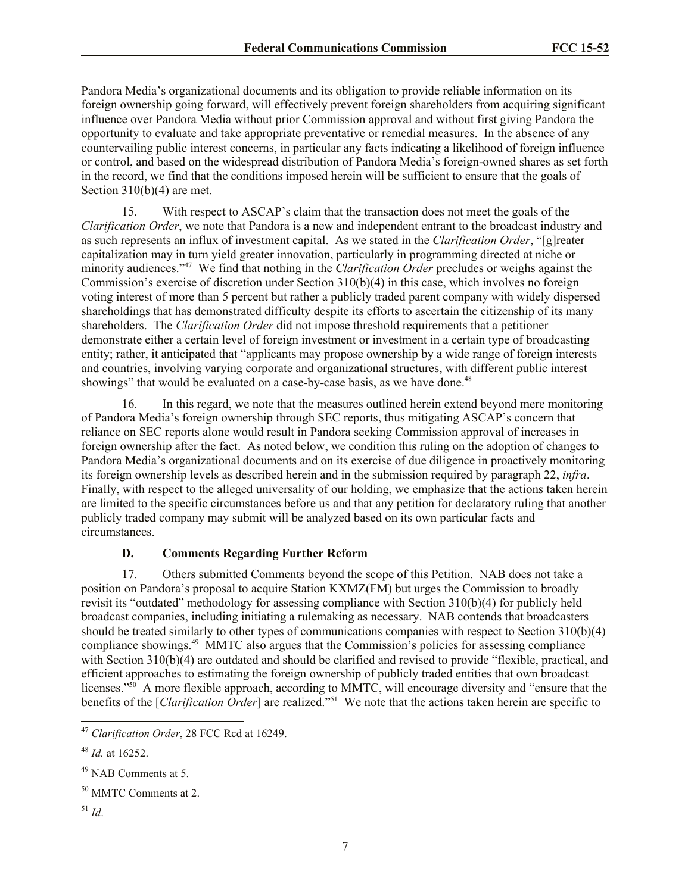Pandora Media's organizational documents and its obligation to provide reliable information on its foreign ownership going forward, will effectively prevent foreign shareholders from acquiring significant influence over Pandora Media without prior Commission approval and without first giving Pandora the opportunity to evaluate and take appropriate preventative or remedial measures. In the absence of any countervailing public interest concerns, in particular any facts indicating a likelihood of foreign influence or control, and based on the widespread distribution of Pandora Media's foreign-owned shares as set forth in the record, we find that the conditions imposed herein will be sufficient to ensure that the goals of Section 310(b)(4) are met.

15. With respect to ASCAP's claim that the transaction does not meet the goals of the *Clarification Order*, we note that Pandora is a new and independent entrant to the broadcast industry and as such represents an influx of investment capital. As we stated in the *Clarification Order*, "[g]reater capitalization may in turn yield greater innovation, particularly in programming directed at niche or minority audiences."<sup>47</sup> We find that nothing in the *Clarification Order* precludes or weighs against the Commission's exercise of discretion under Section  $310(b)(4)$  in this case, which involves no foreign voting interest of more than 5 percent but rather a publicly traded parent company with widely dispersed shareholdings that has demonstrated difficulty despite its efforts to ascertain the citizenship of its many shareholders. The *Clarification Order* did not impose threshold requirements that a petitioner demonstrate either a certain level of foreign investment or investment in a certain type of broadcasting entity; rather, it anticipated that "applicants may propose ownership by a wide range of foreign interests and countries, involving varying corporate and organizational structures, with different public interest showings" that would be evaluated on a case-by-case basis, as we have done.<sup>48</sup>

16. In this regard, we note that the measures outlined herein extend beyond mere monitoring of Pandora Media's foreign ownership through SEC reports, thus mitigating ASCAP's concern that reliance on SEC reports alone would result in Pandora seeking Commission approval of increases in foreign ownership after the fact. As noted below, we condition this ruling on the adoption of changes to Pandora Media's organizational documents and on its exercise of due diligence in proactively monitoring its foreign ownership levels as described herein and in the submission required by paragraph 22, *infra*. Finally, with respect to the alleged universality of our holding, we emphasize that the actions taken herein are limited to the specific circumstances before us and that any petition for declaratory ruling that another publicly traded company may submit will be analyzed based on its own particular facts and circumstances.

# **D. Comments Regarding Further Reform**

17. Others submitted Comments beyond the scope of this Petition. NAB does not take a position on Pandora's proposal to acquire Station KXMZ(FM) but urges the Commission to broadly revisit its "outdated" methodology for assessing compliance with Section 310(b)(4) for publicly held broadcast companies, including initiating a rulemaking as necessary. NAB contends that broadcasters should be treated similarly to other types of communications companies with respect to Section 310(b)(4) compliance showings.<sup>49</sup> MMTC also argues that the Commission's policies for assessing compliance with Section 310(b)(4) are outdated and should be clarified and revised to provide "flexible, practical, and efficient approaches to estimating the foreign ownership of publicly traded entities that own broadcast licenses."<sup>50</sup> A more flexible approach, according to MMTC, will encourage diversity and "ensure that the benefits of the [*Clarification Order*] are realized."<sup>51</sup> We note that the actions taken herein are specific to

<sup>51</sup> *Id*.

<sup>47</sup> *Clarification Order*, 28 FCC Rcd at 16249.

<sup>48</sup> *Id.* at 16252.

<sup>49</sup> NAB Comments at 5.

<sup>&</sup>lt;sup>50</sup> MMTC Comments at 2.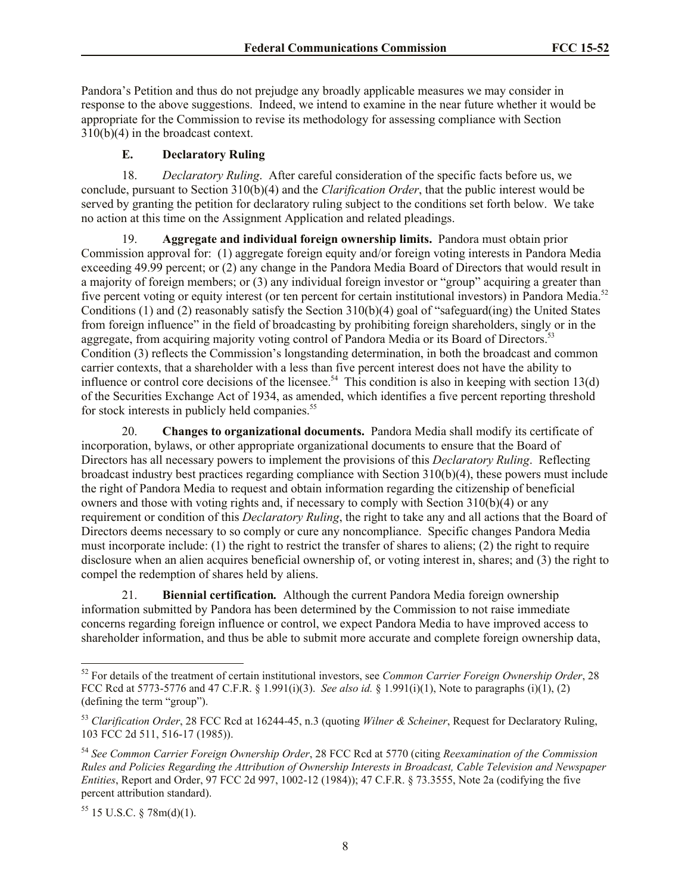Pandora's Petition and thus do not prejudge any broadly applicable measures we may consider in response to the above suggestions. Indeed, we intend to examine in the near future whether it would be appropriate for the Commission to revise its methodology for assessing compliance with Section 310(b)(4) in the broadcast context.

# **E. Declaratory Ruling**

18. *Declaratory Ruling*.After careful consideration of the specific facts before us, we conclude, pursuant to Section 310(b)(4) and the *Clarification Order*, that the public interest would be served by granting the petition for declaratory ruling subject to the conditions set forth below. We take no action at this time on the Assignment Application and related pleadings.

19. **Aggregate and individual foreign ownership limits.** Pandora must obtain prior Commission approval for: (1) aggregate foreign equity and/or foreign voting interests in Pandora Media exceeding 49.99 percent; or (2) any change in the Pandora Media Board of Directors that would result in a majority of foreign members; or (3) any individual foreign investor or "group" acquiring a greater than five percent voting or equity interest (or ten percent for certain institutional investors) in Pandora Media.<sup>52</sup> Conditions (1) and (2) reasonably satisfy the Section 310(b)(4) goal of "safeguard(ing) the United States from foreign influence" in the field of broadcasting by prohibiting foreign shareholders, singly or in the aggregate, from acquiring majority voting control of Pandora Media or its Board of Directors.<sup>53</sup> Condition (3) reflects the Commission's longstanding determination, in both the broadcast and common carrier contexts, that a shareholder with a less than five percent interest does not have the ability to influence or control core decisions of the licensee.<sup>54</sup> This condition is also in keeping with section 13(d) of the Securities Exchange Act of 1934, as amended, which identifies a five percent reporting threshold for stock interests in publicly held companies.<sup>55</sup>

20. **Changes to organizational documents.** Pandora Media shall modify its certificate of incorporation, bylaws, or other appropriate organizational documents to ensure that the Board of Directors has all necessary powers to implement the provisions of this *Declaratory Ruling*. Reflecting broadcast industry best practices regarding compliance with Section 310(b)(4), these powers must include the right of Pandora Media to request and obtain information regarding the citizenship of beneficial owners and those with voting rights and, if necessary to comply with Section 310(b)(4) or any requirement or condition of this *Declaratory Ruling*, the right to take any and all actions that the Board of Directors deems necessary to so comply or cure any noncompliance. Specific changes Pandora Media must incorporate include: (1) the right to restrict the transfer of shares to aliens; (2) the right to require disclosure when an alien acquires beneficial ownership of, or voting interest in, shares; and (3) the right to compel the redemption of shares held by aliens.

21. **Biennial certification***.* Although the current Pandora Media foreign ownership information submitted by Pandora has been determined by the Commission to not raise immediate concerns regarding foreign influence or control, we expect Pandora Media to have improved access to shareholder information, and thus be able to submit more accurate and complete foreign ownership data,

 $\overline{\phantom{a}}$ 

<sup>52</sup> For details of the treatment of certain institutional investors, see *Common Carrier Foreign Ownership Order*, 28 FCC Rcd at 5773-5776 and 47 C.F.R. § 1.991(i)(3). *See also id.* § 1.991(i)(1), Note to paragraphs (i)(1), (2) (defining the term "group").

<sup>53</sup> *Clarification Order*, 28 FCC Rcd at 16244-45, n.3 (quoting *Wilner & Scheiner*, Request for Declaratory Ruling, 103 FCC 2d 511, 516-17 (1985)).

<sup>54</sup> *See Common Carrier Foreign Ownership Order*, 28 FCC Rcd at 5770 (citing *Reexamination of the Commission Rules and Policies Regarding the Attribution of Ownership Interests in Broadcast, Cable Television and Newspaper Entities*, Report and Order, 97 FCC 2d 997, 1002-12 (1984)); 47 C.F.R. § 73.3555, Note 2a (codifying the five percent attribution standard).

 $55$  15 U.S.C. § 78m(d)(1).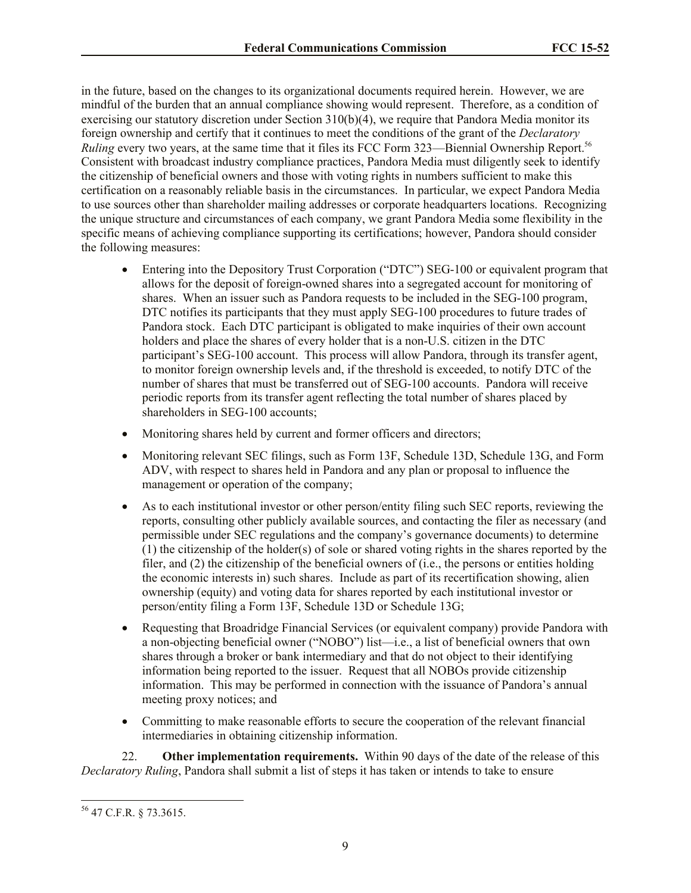in the future, based on the changes to its organizational documents required herein. However, we are mindful of the burden that an annual compliance showing would represent. Therefore, as a condition of exercising our statutory discretion under Section 310(b)(4), we require that Pandora Media monitor its foreign ownership and certify that it continues to meet the conditions of the grant of the *Declaratory Ruling* every two years, at the same time that it files its FCC Form 323—Biennial Ownership Report.<sup>56</sup> Consistent with broadcast industry compliance practices, Pandora Media must diligently seek to identify the citizenship of beneficial owners and those with voting rights in numbers sufficient to make this certification on a reasonably reliable basis in the circumstances. In particular, we expect Pandora Media to use sources other than shareholder mailing addresses or corporate headquarters locations. Recognizing the unique structure and circumstances of each company, we grant Pandora Media some flexibility in the specific means of achieving compliance supporting its certifications; however, Pandora should consider the following measures:

- Entering into the Depository Trust Corporation ("DTC") SEG-100 or equivalent program that allows for the deposit of foreign-owned shares into a segregated account for monitoring of shares. When an issuer such as Pandora requests to be included in the SEG-100 program, DTC notifies its participants that they must apply SEG-100 procedures to future trades of Pandora stock. Each DTC participant is obligated to make inquiries of their own account holders and place the shares of every holder that is a non-U.S. citizen in the DTC participant's SEG-100 account. This process will allow Pandora, through its transfer agent, to monitor foreign ownership levels and, if the threshold is exceeded, to notify DTC of the number of shares that must be transferred out of SEG-100 accounts. Pandora will receive periodic reports from its transfer agent reflecting the total number of shares placed by shareholders in SEG-100 accounts;
- Monitoring shares held by current and former officers and directors;
- Monitoring relevant SEC filings, such as Form 13F, Schedule 13D, Schedule 13G, and Form ADV, with respect to shares held in Pandora and any plan or proposal to influence the management or operation of the company;
- As to each institutional investor or other person/entity filing such SEC reports, reviewing the reports, consulting other publicly available sources, and contacting the filer as necessary (and permissible under SEC regulations and the company's governance documents) to determine (1) the citizenship of the holder(s) of sole or shared voting rights in the shares reported by the filer, and (2) the citizenship of the beneficial owners of (i.e., the persons or entities holding the economic interests in) such shares. Include as part of its recertification showing, alien ownership (equity) and voting data for shares reported by each institutional investor or person/entity filing a Form 13F, Schedule 13D or Schedule 13G;
- Requesting that Broadridge Financial Services (or equivalent company) provide Pandora with a non-objecting beneficial owner ("NOBO") list—i.e., a list of beneficial owners that own shares through a broker or bank intermediary and that do not object to their identifying information being reported to the issuer. Request that all NOBOs provide citizenship information. This may be performed in connection with the issuance of Pandora's annual meeting proxy notices; and
- Committing to make reasonable efforts to secure the cooperation of the relevant financial intermediaries in obtaining citizenship information.

22. **Other implementation requirements.** Within 90 days of the date of the release of this *Declaratory Ruling*, Pandora shall submit a list of steps it has taken or intends to take to ensure

 $\overline{\phantom{a}}$ 

<sup>56</sup> 47 C.F.R. § 73.3615.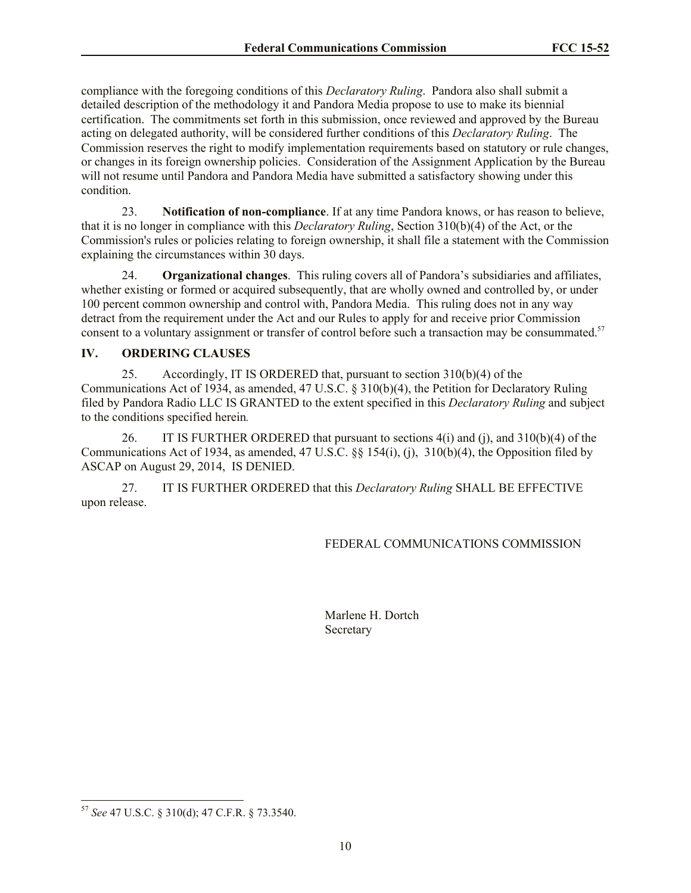compliance with the foregoing conditions of this *Declaratory Ruling*. Pandora also shall submit a detailed description of the methodology it and Pandora Media propose to use to make its biennial certification. The commitments set forth in this submission, once reviewed and approved by the Bureau acting on delegated authority, will be considered further conditions of this *Declaratory Ruling*. The Commission reserves the right to modify implementation requirements based on statutory or rule changes, or changes in its foreign ownership policies. Consideration of the Assignment Application by the Bureau will not resume until Pandora and Pandora Media have submitted a satisfactory showing under this condition.

23. **Notification of non-compliance**. If at any time Pandora knows, or has reason to believe, that it is no longer in compliance with this *Declaratory Ruling*, Section 310(b)(4) of the Act, or the Commission's rules or policies relating to foreign ownership, it shall file a statement with the Commission explaining the circumstances within 30 days.

24. **Organizational changes**. This ruling covers all of Pandora's subsidiaries and affiliates, whether existing or formed or acquired subsequently, that are wholly owned and controlled by, or under 100 percent common ownership and control with, Pandora Media. This ruling does not in any way detract from the requirement under the Act and our Rules to apply for and receive prior Commission consent to a voluntary assignment or transfer of control before such a transaction may be consummated.<sup>57</sup>

# **IV. ORDERING CLAUSES**

25. Accordingly, IT IS ORDERED that, pursuant to section 310(b)(4) of the Communications Act of 1934, as amended, 47 U.S.C. § 310(b)(4), the Petition for Declaratory Ruling filed by Pandora Radio LLC IS GRANTED to the extent specified in this *Declaratory Ruling* and subject to the conditions specified herein*.*

26. IT IS FURTHER ORDERED that pursuant to sections 4(i) and (j), and 310(b)(4) of the Communications Act of 1934, as amended, 47 U.S.C. §§ 154(i), (j), 310(b)(4), the Opposition filed by ASCAP on August 29, 2014, IS DENIED.

27. IT IS FURTHER ORDERED that this *Declaratory Ruling* SHALL BE EFFECTIVE upon release.

# FEDERAL COMMUNICATIONS COMMISSION

Marlene H. Dortch **Secretary** 

 $\overline{\phantom{a}}$ 

<sup>57</sup> *See* 47 U.S.C. § 310(d); 47 C.F.R. § 73.3540.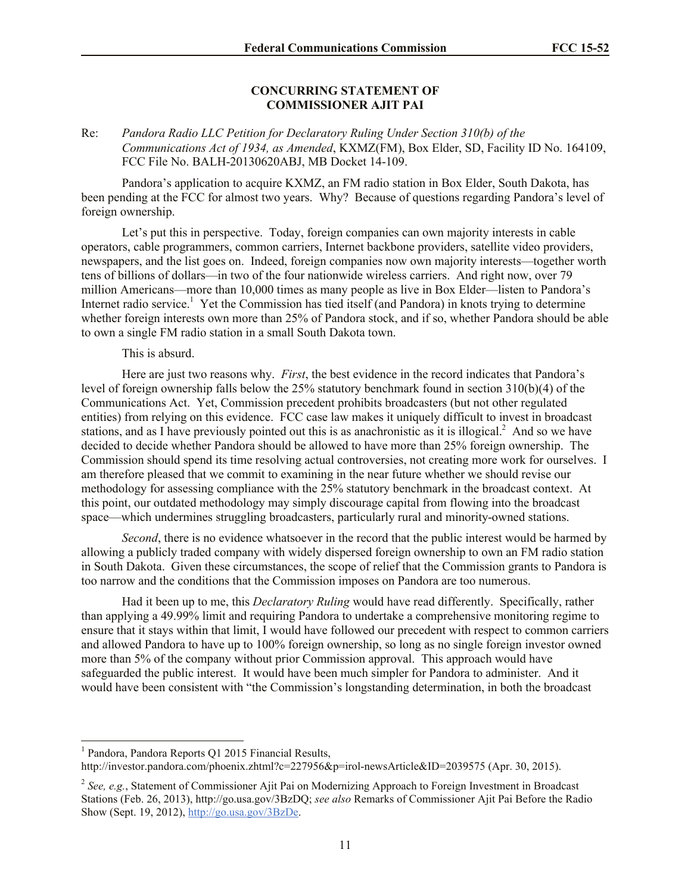#### **CONCURRING STATEMENT OF COMMISSIONER AJIT PAI**

## Re: *Pandora Radio LLC Petition for Declaratory Ruling Under Section 310(b) of the Communications Act of 1934, as Amended*, KXMZ(FM), Box Elder, SD, Facility ID No. 164109, FCC File No. BALH-20130620ABJ, MB Docket 14-109.

Pandora's application to acquire KXMZ, an FM radio station in Box Elder, South Dakota, has been pending at the FCC for almost two years. Why? Because of questions regarding Pandora's level of foreign ownership.

Let's put this in perspective. Today, foreign companies can own majority interests in cable operators, cable programmers, common carriers, Internet backbone providers, satellite video providers, newspapers, and the list goes on. Indeed, foreign companies now own majority interests—together worth tens of billions of dollars—in two of the four nationwide wireless carriers. And right now, over 79 million Americans—more than 10,000 times as many people as live in Box Elder—listen to Pandora's Internet radio service.<sup>1</sup> Yet the Commission has tied itself (and Pandora) in knots trying to determine whether foreign interests own more than 25% of Pandora stock, and if so, whether Pandora should be able to own a single FM radio station in a small South Dakota town.

#### This is absurd.

Here are just two reasons why. *First*, the best evidence in the record indicates that Pandora's level of foreign ownership falls below the 25% statutory benchmark found in section 310(b)(4) of the Communications Act. Yet, Commission precedent prohibits broadcasters (but not other regulated entities) from relying on this evidence. FCC case law makes it uniquely difficult to invest in broadcast stations, and as I have previously pointed out this is as anachronistic as it is illogical.<sup>2</sup> And so we have decided to decide whether Pandora should be allowed to have more than 25% foreign ownership. The Commission should spend its time resolving actual controversies, not creating more work for ourselves. I am therefore pleased that we commit to examining in the near future whether we should revise our methodology for assessing compliance with the 25% statutory benchmark in the broadcast context. At this point, our outdated methodology may simply discourage capital from flowing into the broadcast space—which undermines struggling broadcasters, particularly rural and minority-owned stations.

*Second*, there is no evidence whatsoever in the record that the public interest would be harmed by allowing a publicly traded company with widely dispersed foreign ownership to own an FM radio station in South Dakota. Given these circumstances, the scope of relief that the Commission grants to Pandora is too narrow and the conditions that the Commission imposes on Pandora are too numerous.

Had it been up to me, this *Declaratory Ruling* would have read differently. Specifically, rather than applying a 49.99% limit and requiring Pandora to undertake a comprehensive monitoring regime to ensure that it stays within that limit, I would have followed our precedent with respect to common carriers and allowed Pandora to have up to 100% foreign ownership, so long as no single foreign investor owned more than 5% of the company without prior Commission approval. This approach would have safeguarded the public interest. It would have been much simpler for Pandora to administer. And it would have been consistent with "the Commission's longstanding determination, in both the broadcast

<sup>1</sup> Pandora, Pandora Reports Q1 2015 Financial Results,

http://investor.pandora.com/phoenix.zhtml?c=227956&p=irol-newsArticle&ID=2039575 (Apr. 30, 2015).

<sup>&</sup>lt;sup>2</sup> See, e.g., Statement of Commissioner Ajit Pai on Modernizing Approach to Foreign Investment in Broadcast Stations (Feb. 26, 2013), http://go.usa.gov/3BzDQ; *see also* Remarks of Commissioner Ajit Pai Before the Radio Show (Sept. 19, 2012), http://go.usa.gov/3BzDe.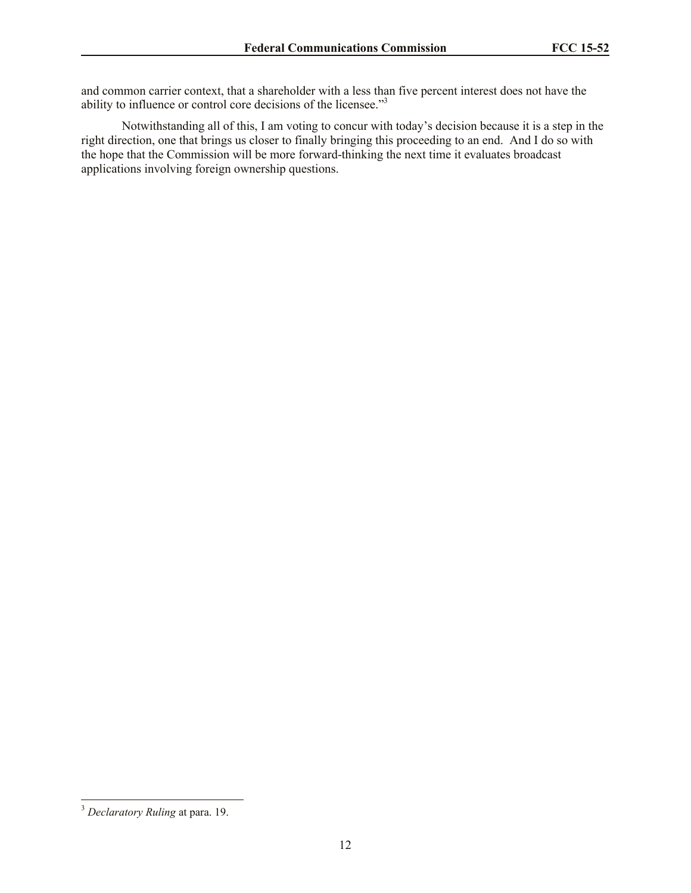and common carrier context, that a shareholder with a less than five percent interest does not have the ability to influence or control core decisions of the licensee."<sup>3</sup>

Notwithstanding all of this, I am voting to concur with today's decision because it is a step in the right direction, one that brings us closer to finally bringing this proceeding to an end. And I do so with the hope that the Commission will be more forward-thinking the next time it evaluates broadcast applications involving foreign ownership questions.

<sup>3</sup> *Declaratory Ruling* at para. 19.